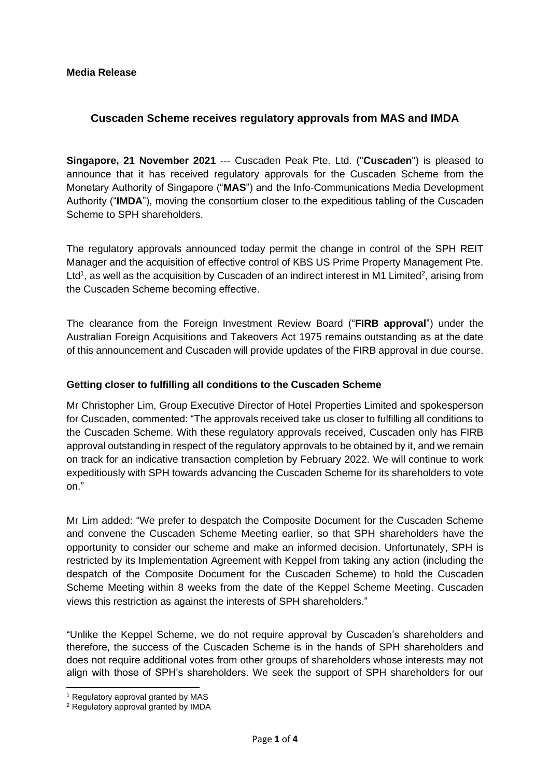#### **Media Release**

## **Cuscaden Scheme receives regulatory approvals from MAS and IMDA**

**Singapore, 21 November 2021** --- Cuscaden Peak Pte. Ltd. ("**Cuscaden**") is pleased to announce that it has received regulatory approvals for the Cuscaden Scheme from the Monetary Authority of Singapore ("**MAS**") and the Info-Communications Media Development Authority ("**IMDA**"), moving the consortium closer to the expeditious tabling of the Cuscaden Scheme to SPH shareholders.

The regulatory approvals announced today permit the change in control of the SPH REIT Manager and the acquisition of effective control of KBS US Prime Property Management Pte. Ltd<sup>1</sup>, as well as the acquisition by Cuscaden of an indirect interest in M1 Limited<sup>2</sup>, arising from the Cuscaden Scheme becoming effective.

The clearance from the Foreign Investment Review Board ("**FIRB approval**") under the Australian Foreign Acquisitions and Takeovers Act 1975 remains outstanding as at the date of this announcement and Cuscaden will provide updates of the FIRB approval in due course.

#### **Getting closer to fulfilling all conditions to the Cuscaden Scheme**

Mr Christopher Lim, Group Executive Director of Hotel Properties Limited and spokesperson for Cuscaden, commented: "The approvals received take us closer to fulfilling all conditions to the Cuscaden Scheme. With these regulatory approvals received, Cuscaden only has FIRB approval outstanding in respect of the regulatory approvals to be obtained by it, and we remain on track for an indicative transaction completion by February 2022. We will continue to work expeditiously with SPH towards advancing the Cuscaden Scheme for its shareholders to vote on."

Mr Lim added: "We prefer to despatch the Composite Document for the Cuscaden Scheme and convene the Cuscaden Scheme Meeting earlier, so that SPH shareholders have the opportunity to consider our scheme and make an informed decision. Unfortunately, SPH is restricted by its Implementation Agreement with Keppel from taking any action (including the despatch of the Composite Document for the Cuscaden Scheme) to hold the Cuscaden Scheme Meeting within 8 weeks from the date of the Keppel Scheme Meeting. Cuscaden views this restriction as against the interests of SPH shareholders."

"Unlike the Keppel Scheme, we do not require approval by Cuscaden's shareholders and therefore, the success of the Cuscaden Scheme is in the hands of SPH shareholders and does not require additional votes from other groups of shareholders whose interests may not align with those of SPH's shareholders. We seek the support of SPH shareholders for our

<sup>&</sup>lt;sup>1</sup> Regulatory approval granted by MAS

<sup>2</sup> Regulatory approval granted by IMDA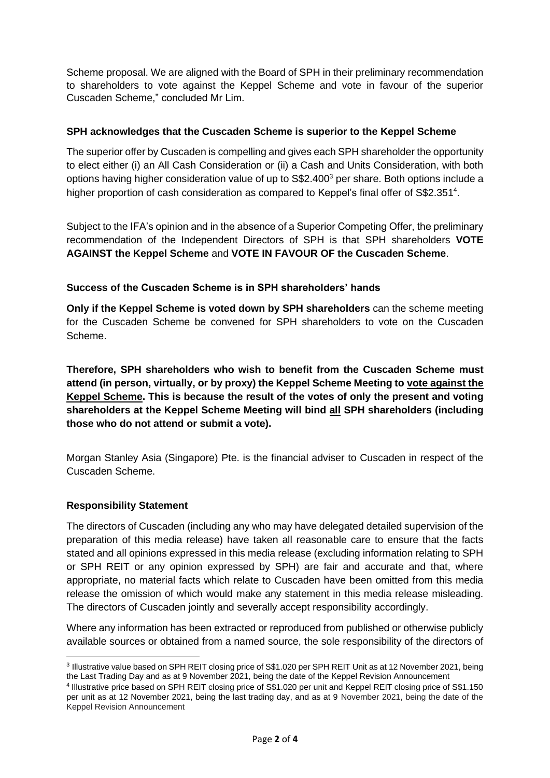Scheme proposal. We are aligned with the Board of SPH in their preliminary recommendation to shareholders to vote against the Keppel Scheme and vote in favour of the superior Cuscaden Scheme," concluded Mr Lim.

### **SPH acknowledges that the Cuscaden Scheme is superior to the Keppel Scheme**

The superior offer by Cuscaden is compelling and gives each SPH shareholder the opportunity to elect either (i) an All Cash Consideration or (ii) a Cash and Units Consideration, with both options having higher consideration value of up to S\$2.400<sup>3</sup> per share. Both options include a higher proportion of cash consideration as compared to Keppel's final offer of S\$2.351<sup>4</sup>.

Subject to the IFA's opinion and in the absence of a Superior Competing Offer, the preliminary recommendation of the Independent Directors of SPH is that SPH shareholders **VOTE AGAINST the Keppel Scheme** and **VOTE IN FAVOUR OF the Cuscaden Scheme**.

### **Success of the Cuscaden Scheme is in SPH shareholders' hands**

**Only if the Keppel Scheme is voted down by SPH shareholders** can the scheme meeting for the Cuscaden Scheme be convened for SPH shareholders to vote on the Cuscaden Scheme.

**Therefore, SPH shareholders who wish to benefit from the Cuscaden Scheme must attend (in person, virtually, or by proxy) the Keppel Scheme Meeting to vote against the Keppel Scheme. This is because the result of the votes of only the present and voting shareholders at the Keppel Scheme Meeting will bind all SPH shareholders (including those who do not attend or submit a vote).**

Morgan Stanley Asia (Singapore) Pte. is the financial adviser to Cuscaden in respect of the Cuscaden Scheme.

#### **Responsibility Statement**

The directors of Cuscaden (including any who may have delegated detailed supervision of the preparation of this media release) have taken all reasonable care to ensure that the facts stated and all opinions expressed in this media release (excluding information relating to SPH or SPH REIT or any opinion expressed by SPH) are fair and accurate and that, where appropriate, no material facts which relate to Cuscaden have been omitted from this media release the omission of which would make any statement in this media release misleading. The directors of Cuscaden jointly and severally accept responsibility accordingly.

Where any information has been extracted or reproduced from published or otherwise publicly available sources or obtained from a named source, the sole responsibility of the directors of

<sup>3</sup> Illustrative value based on SPH REIT closing price of S\$1.020 per SPH REIT Unit as at 12 November 2021, being the Last Trading Day and as at 9 November 2021, being the date of the Keppel Revision Announcement

<sup>4</sup> Illustrative price based on SPH REIT closing price of S\$1.020 per unit and Keppel REIT closing price of S\$1.150 per unit as at 12 November 2021, being the last trading day, and as at 9 November 2021, being the date of the Keppel Revision Announcement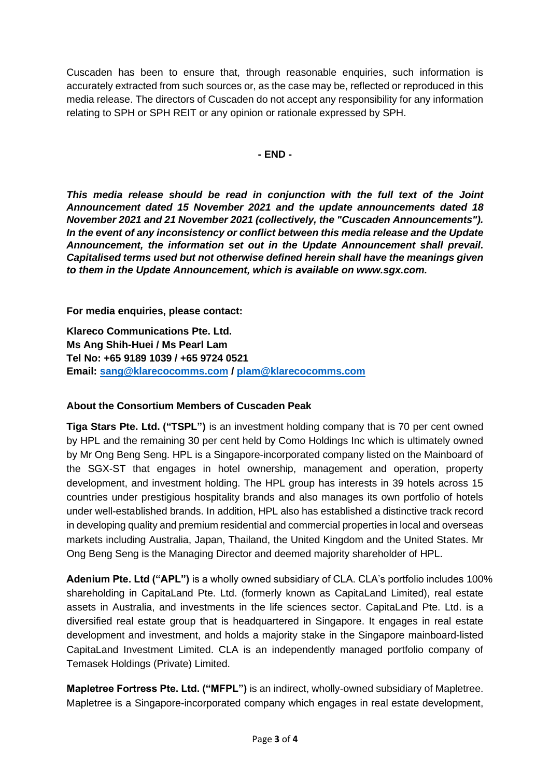Cuscaden has been to ensure that, through reasonable enquiries, such information is accurately extracted from such sources or, as the case may be, reflected or reproduced in this media release. The directors of Cuscaden do not accept any responsibility for any information relating to SPH or SPH REIT or any opinion or rationale expressed by SPH.

**- END -**

*This media release should be read in conjunction with the full text of the Joint Announcement dated 15 November 2021 and the update announcements dated 18 November 2021 and 21 November 2021 (collectively, the "Cuscaden Announcements"). In the event of any inconsistency or conflict between this media release and the Update Announcement, the information set out in the Update Announcement shall prevail. Capitalised terms used but not otherwise defined herein shall have the meanings given to them in the Update Announcement, which is available on www.sgx.com.*

**For media enquiries, please contact:** 

**Klareco Communications Pte. Ltd. Ms Ang Shih-Huei / Ms Pearl Lam Tel No: +65 9189 1039 / +65 9724 0521 Email: [sang@klarecocomms.com](mailto:sang@klarecocomms.com) / [plam@klarecocomms.com](mailto:plam@klarecocomms.com)**

# **About the Consortium Members of Cuscaden Peak**

**Tiga Stars Pte. Ltd. ("TSPL")** is an investment holding company that is 70 per cent owned by HPL and the remaining 30 per cent held by Como Holdings Inc which is ultimately owned by Mr Ong Beng Seng. HPL is a Singapore-incorporated company listed on the Mainboard of the SGX-ST that engages in hotel ownership, management and operation, property development, and investment holding. The HPL group has interests in 39 hotels across 15 countries under prestigious hospitality brands and also manages its own portfolio of hotels under well-established brands. In addition, HPL also has established a distinctive track record in developing quality and premium residential and commercial properties in local and overseas markets including Australia, Japan, Thailand, the United Kingdom and the United States. Mr Ong Beng Seng is the Managing Director and deemed majority shareholder of HPL.

**Adenium Pte. Ltd ("APL")** is a wholly owned subsidiary of CLA. CLA's portfolio includes 100% shareholding in CapitaLand Pte. Ltd. (formerly known as CapitaLand Limited), real estate assets in Australia, and investments in the life sciences sector. CapitaLand Pte. Ltd. is a diversified real estate group that is headquartered in Singapore. It engages in real estate development and investment, and holds a majority stake in the Singapore mainboard-listed CapitaLand Investment Limited. CLA is an independently managed portfolio company of Temasek Holdings (Private) Limited.

**Mapletree Fortress Pte. Ltd. ("MFPL")** is an indirect, wholly-owned subsidiary of Mapletree. Mapletree is a Singapore-incorporated company which engages in real estate development,